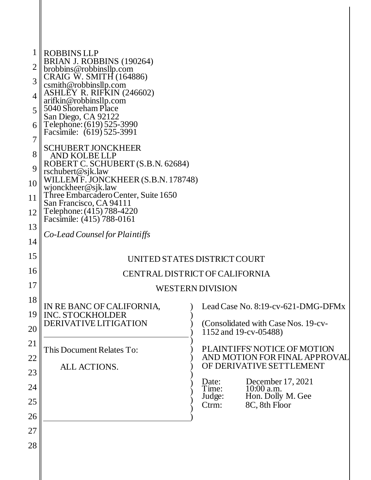|                  | <b>ROBBINS LLP</b>                                                                                                                                                                     |                                                              |
|------------------|----------------------------------------------------------------------------------------------------------------------------------------------------------------------------------------|--------------------------------------------------------------|
| 2                | BRIAN J. ROBBINS (190264)                                                                                                                                                              |                                                              |
| 3                | brobbins@robbinsllp.com<br>CRAIG W. SMITH (164886)                                                                                                                                     |                                                              |
|                  | csmith@robbinsllp.com<br>ASHLEY R. RIFKIN (246602)                                                                                                                                     |                                                              |
| 4                | arifkin@robbinsllp.com<br>5040 Shoreham Place                                                                                                                                          |                                                              |
| 5                | San Diego, CA 92122                                                                                                                                                                    |                                                              |
| 6<br>7           | Telephone: (619) 525-3990<br>Facsimile: (619) 525-3991                                                                                                                                 |                                                              |
| 8                | SCHUBERT JONCKHEER<br>AND KOLBELLP                                                                                                                                                     |                                                              |
| 9                | ROBERT C. SCHUBERT (S.B.N. 62684)<br>rschubert@sjk.law<br>WILLEM F. JONCKHEER (S.B.N. 178748)<br>wjonckheer@sjk.law<br>Three Embarcadero Center, Suite 1650<br>San Francisco, CA 94111 |                                                              |
| 10               |                                                                                                                                                                                        |                                                              |
| 11               |                                                                                                                                                                                        |                                                              |
| 12               | Telephone: (415) 788-4220<br>Facsimile: (415) 788-0161                                                                                                                                 |                                                              |
| 13               | Co-Lead Counsel for Plaintiffs                                                                                                                                                         |                                                              |
| 14               |                                                                                                                                                                                        |                                                              |
| 15               | UNITED STATES DISTRICT COURT                                                                                                                                                           |                                                              |
| 16               | CENTRAL DISTRICT OF CALIFORNIA                                                                                                                                                         |                                                              |
| 17               | <b>WESTERN DIVISION</b>                                                                                                                                                                |                                                              |
| 18               | IN RE BANC OF CALIFORNIA,                                                                                                                                                              | $\leq$ Lead Case No. 8:19-cv-621-DMG-DFMx                    |
| 19 <sup>  </sup> | <b>INC. STOCKHOLDER</b>                                                                                                                                                                |                                                              |
| 20               | DERIVATIVE LITIGATION                                                                                                                                                                  | (Consolidated with Case Nos. 19-cv-<br>1152 and 19-cv-05488) |
| 21               | This Document Relates To:                                                                                                                                                              | PLAINTIFFS' NOTICE OF MOTION                                 |
| 22               |                                                                                                                                                                                        | AND MOTION FOR FINAL APPROVAL<br>OF DERIVATIVE SETTLEMENT    |
| 23               | ALL ACTIONS.                                                                                                                                                                           |                                                              |
| 24               |                                                                                                                                                                                        | December 17, 2021<br>Date:<br>Time:<br>10:00 a.m.            |
| 25               |                                                                                                                                                                                        | Hon. Dolly M. Gee<br>Judge:<br>8C, 8th Floor<br>Ctrm:        |
| 26               |                                                                                                                                                                                        |                                                              |
| 27               |                                                                                                                                                                                        |                                                              |
| 28               |                                                                                                                                                                                        |                                                              |
|                  |                                                                                                                                                                                        |                                                              |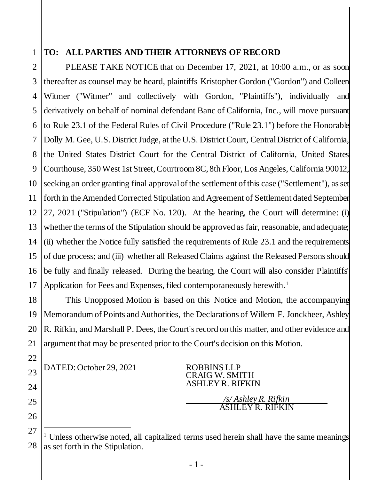## 1

## **TO: ALL PARTIES AND THEIR ATTORNEYS OF RECORD**

2 3 4 5 6 7 8 9 10 11 12 13 14 15 16 17 PLEASE TAKE NOTICE that on December 17, 2021, at 10:00 a.m., or as soon thereafter as counsel may be heard, plaintiffs Kristopher Gordon ("Gordon") and Colleen Witmer ("Witmer" and collectively with Gordon, "Plaintiffs"), individually and derivatively on behalf of nominal defendant Banc of California, Inc., will move pursuant to Rule 23.1 of the Federal Rules of Civil Procedure ("Rule 23.1") before the Honorable Dolly M. Gee, U.S. District Judge, at the U.S. District Court, CentralDistrict of California, the United States District Court for the Central District of California, United States Courthouse, 350 West 1st Street, Courtroom 8C, 8th Floor, Los Angeles, California 90012, seeking an order granting final approval of the settlement of this case ("Settlement"), as set forth in the Amended Corrected Stipulation and Agreement of Settlement dated September 27, 2021 ("Stipulation") (ECF No. 120). At the hearing, the Court will determine: (i) whether the terms of the Stipulation should be approved as fair, reasonable, and adequate; (ii) whether the Notice fully satisfied the requirements of Rule 23.1 and the requirements of due process; and (iii) whether all Released Claims against the Released Persons should be fully and finally released. During the hearing, the Court will also consider Plaintiffs' Application for Fees and Expenses, filed contemporaneously herewith. 1

18 19 20 21 This Unopposed Motion is based on this Notice and Motion, the accompanying Memorandum of Points and Authorities, the Declarations of Willem F. Jonckheer, Ashley R. Rifkin, and Marshall P. Dees, the Court's record on this matter, and other evidence and argument that may be presented prior to the Court's decision on this Motion.

DATED: October 29, 2021 ROBBINS LLP

22

23

24

25

26

CRAIG W. SMITH ASHLEY R. RIFKIN

> */s/ Ashley R. Rifkin* ASHLEY R. RIFKIN

<sup>27</sup> 28 l <sup>1</sup> Unless otherwise noted, all capitalized terms used herein shall have the same meanings as set forth in the Stipulation.